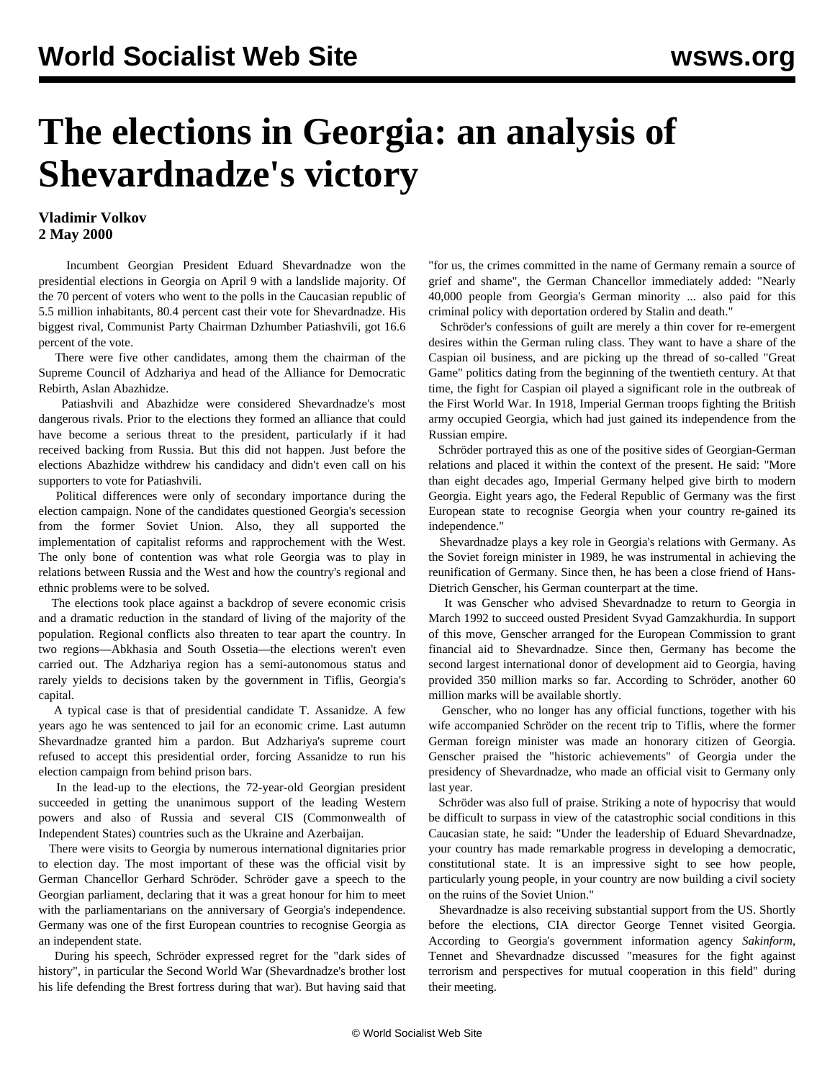## **The elections in Georgia: an analysis of Shevardnadze's victory**

## **Vladimir Volkov 2 May 2000**

 Incumbent Georgian President Eduard Shevardnadze won the presidential elections in Georgia on April 9 with a landslide majority. Of the 70 percent of voters who went to the polls in the Caucasian republic of 5.5 million inhabitants, 80.4 percent cast their vote for Shevardnadze. His biggest rival, Communist Party Chairman Dzhumber Patiashvili, got 16.6 percent of the vote.

 There were five other candidates, among them the chairman of the Supreme Council of Adzhariya and head of the Alliance for Democratic Rebirth, Aslan Abazhidze.

 Patiashvili and Abazhidze were considered Shevardnadze's most dangerous rivals. Prior to the elections they formed an alliance that could have become a serious threat to the president, particularly if it had received backing from Russia. But this did not happen. Just before the elections Abazhidze withdrew his candidacy and didn't even call on his supporters to vote for Patiashvili.

 Political differences were only of secondary importance during the election campaign. None of the candidates questioned Georgia's secession from the former Soviet Union. Also, they all supported the implementation of capitalist reforms and rapprochement with the West. The only bone of contention was what role Georgia was to play in relations between Russia and the West and how the country's regional and ethnic problems were to be solved.

 The elections took place against a backdrop of severe economic crisis and a dramatic reduction in the standard of living of the majority of the population. Regional conflicts also threaten to tear apart the country. In two regions—Abkhasia and South Ossetia—the elections weren't even carried out. The Adzhariya region has a semi-autonomous status and rarely yields to decisions taken by the government in Tiflis, Georgia's capital.

 A typical case is that of presidential candidate T. Assanidze. A few years ago he was sentenced to jail for an economic crime. Last autumn Shevardnadze granted him a pardon. But Adzhariya's supreme court refused to accept this presidential order, forcing Assanidze to run his election campaign from behind prison bars.

 In the lead-up to the elections, the 72-year-old Georgian president succeeded in getting the unanimous support of the leading Western powers and also of Russia and several CIS (Commonwealth of Independent States) countries such as the Ukraine and Azerbaijan.

 There were visits to Georgia by numerous international dignitaries prior to election day. The most important of these was the official visit by German Chancellor Gerhard Schröder. Schröder gave a speech to the Georgian parliament, declaring that it was a great honour for him to meet with the parliamentarians on the anniversary of Georgia's independence. Germany was one of the first European countries to recognise Georgia as an independent state.

 During his speech, Schröder expressed regret for the "dark sides of history", in particular the Second World War (Shevardnadze's brother lost his life defending the Brest fortress during that war). But having said that "for us, the crimes committed in the name of Germany remain a source of grief and shame", the German Chancellor immediately added: "Nearly 40,000 people from Georgia's German minority ... also paid for this criminal policy with deportation ordered by Stalin and death."

 Schröder's confessions of guilt are merely a thin cover for re-emergent desires within the German ruling class. They want to have a share of the Caspian oil business, and are picking up the thread of so-called "Great Game" politics dating from the beginning of the twentieth century. At that time, the fight for Caspian oil played a significant role in the outbreak of the First World War. In 1918, Imperial German troops fighting the British army occupied Georgia, which had just gained its independence from the Russian empire.

 Schröder portrayed this as one of the positive sides of Georgian-German relations and placed it within the context of the present. He said: "More than eight decades ago, Imperial Germany helped give birth to modern Georgia. Eight years ago, the Federal Republic of Germany was the first European state to recognise Georgia when your country re-gained its independence."

 Shevardnadze plays a key role in Georgia's relations with Germany. As the Soviet foreign minister in 1989, he was instrumental in achieving the reunification of Germany. Since then, he has been a close friend of Hans-Dietrich Genscher, his German counterpart at the time.

 It was Genscher who advised Shevardnadze to return to Georgia in March 1992 to succeed ousted President Svyad Gamzakhurdia. In support of this move, Genscher arranged for the European Commission to grant financial aid to Shevardnadze. Since then, Germany has become the second largest international donor of development aid to Georgia, having provided 350 million marks so far. According to Schröder, another 60 million marks will be available shortly.

 Genscher, who no longer has any official functions, together with his wife accompanied Schröder on the recent trip to Tiflis, where the former German foreign minister was made an honorary citizen of Georgia. Genscher praised the "historic achievements" of Georgia under the presidency of Shevardnadze, who made an official visit to Germany only last year.

 Schröder was also full of praise. Striking a note of hypocrisy that would be difficult to surpass in view of the catastrophic social conditions in this Caucasian state, he said: "Under the leadership of Eduard Shevardnadze, your country has made remarkable progress in developing a democratic, constitutional state. It is an impressive sight to see how people, particularly young people, in your country are now building a civil society on the ruins of the Soviet Union."

 Shevardnadze is also receiving substantial support from the US. Shortly before the elections, CIA director George Tennet visited Georgia. According to Georgia's government information agency *Sakinform*, Tennet and Shevardnadze discussed "measures for the fight against terrorism and perspectives for mutual cooperation in this field" during their meeting.